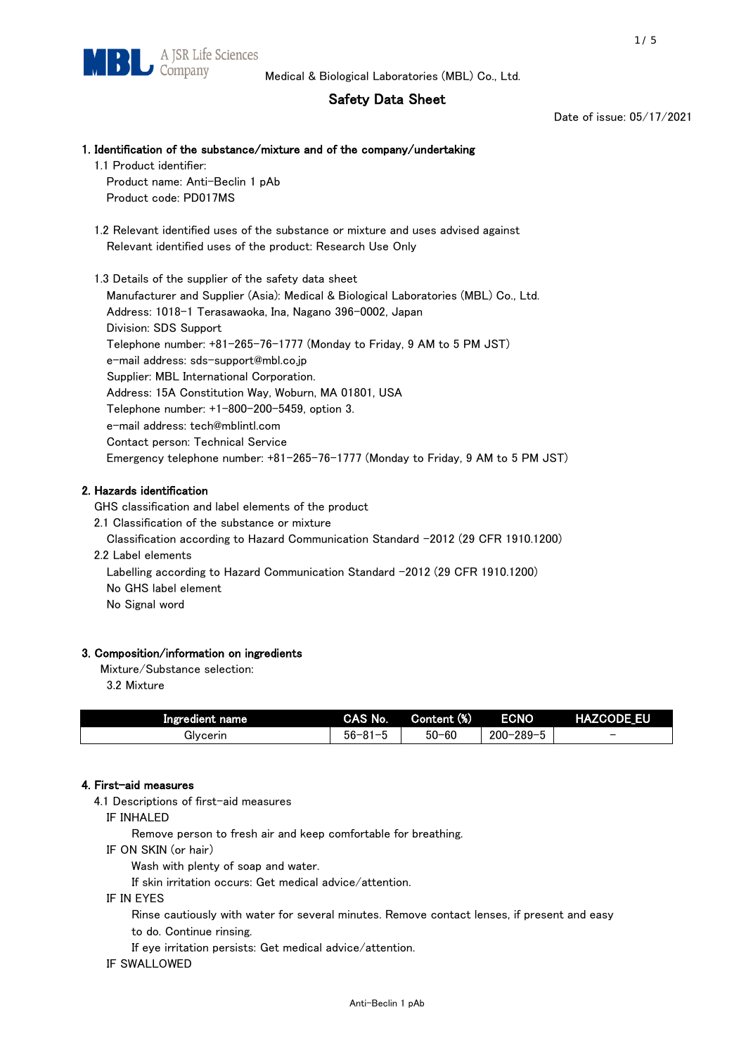# Safety Data Sheet

Date of issue: 05/17/2021

# 1. Identification of the substance/mixture and of the company/undertaking

 1.1 Product identifier: Product name: Anti-Beclin 1 pAb

Product code: PD017MS

 1.2 Relevant identified uses of the substance or mixture and uses advised against Relevant identified uses of the product: Research Use Only

 1.3 Details of the supplier of the safety data sheet Manufacturer and Supplier (Asia): Medical & Biological Laboratories (MBL) Co., Ltd. Address: 1018-1 Terasawaoka, Ina, Nagano 396-0002, Japan Division: SDS Support Telephone number: +81-265-76-1777 (Monday to Friday, 9 AM to 5 PM JST) e-mail address: sds-support@mbl.co.jp Supplier: MBL International Corporation. Address: 15A Constitution Way, Woburn, MA 01801, USA Telephone number: +1-800-200-5459, option 3. e-mail address: tech@mblintl.com Contact person: Technical Service Emergency telephone number: +81-265-76-1777 (Monday to Friday, 9 AM to 5 PM JST)

# 2. Hazards identification

GHS classification and label elements of the product

2.1 Classification of the substance or mixture

Classification according to Hazard Communication Standard -2012 (29 CFR 1910.1200)

2.2 Label elements

Labelling according to Hazard Communication Standard -2012 (29 CFR 1910.1200) No GHS label element

No Signal word

# 3. Composition/information on ingredients

Mixture/Substance selection:

3.2 Mixture

| Ingredient name | CAS No.             | Content (%) | <b>ECNO</b>                                              | <b>HAZCODE_EU</b>        |
|-----------------|---------------------|-------------|----------------------------------------------------------|--------------------------|
| Glvcerin        | $56 - 81 -$<br>ິບ ເ | $50 - 60$   | $-289 - 1$<br>$200 - 2$<br>$\overline{\phantom{0}}$<br>v | $\overline{\phantom{0}}$ |

# 4. First-aid measures

4.1 Descriptions of first-aid measures

IF INHALED

Remove person to fresh air and keep comfortable for breathing.

IF ON SKIN (or hair)

Wash with plenty of soap and water.

If skin irritation occurs: Get medical advice/attention.

IF IN EYES

Rinse cautiously with water for several minutes. Remove contact lenses, if present and easy

to do. Continue rinsing.

If eye irritation persists: Get medical advice/attention.

IF SWALLOWED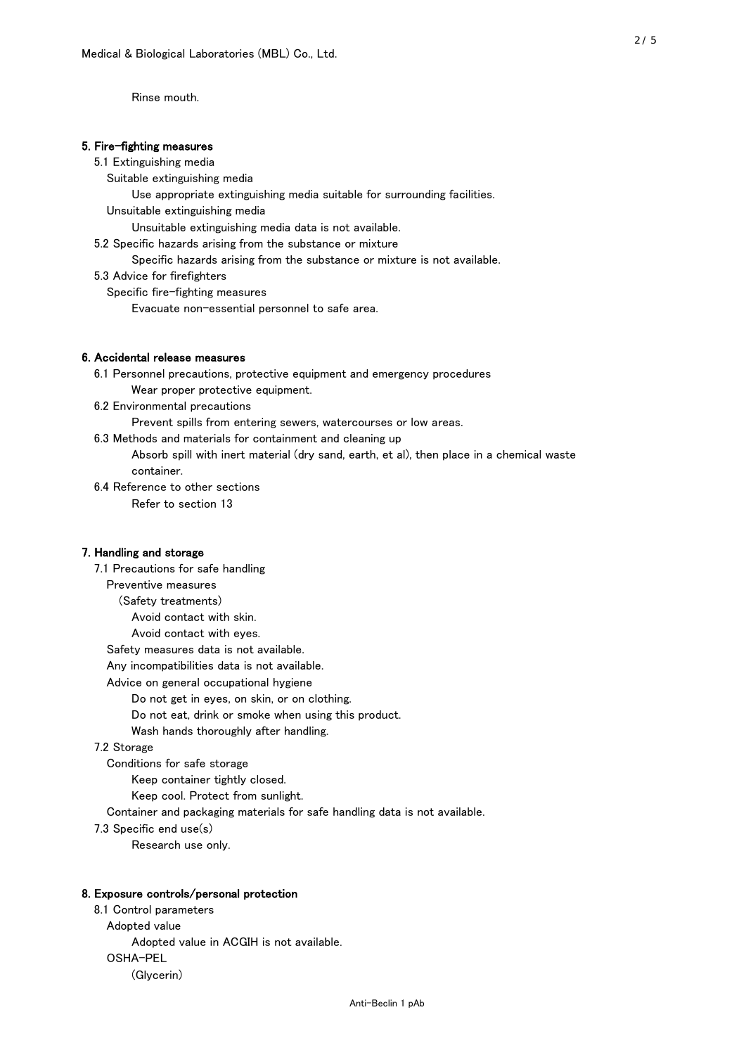Rinse mouth.

### 5. Fire-fighting measures

### 5.1 Extinguishing media

Suitable extinguishing media

Use appropriate extinguishing media suitable for surrounding facilities.

Unsuitable extinguishing media

Unsuitable extinguishing media data is not available.

5.2 Specific hazards arising from the substance or mixture

Specific hazards arising from the substance or mixture is not available.

5.3 Advice for firefighters

Specific fire-fighting measures

Evacuate non-essential personnel to safe area.

# 6. Accidental release measures

 6.1 Personnel precautions, protective equipment and emergency procedures Wear proper protective equipment.

6.2 Environmental precautions

Prevent spills from entering sewers, watercourses or low areas.

6.3 Methods and materials for containment and cleaning up

 Absorb spill with inert material (dry sand, earth, et al), then place in a chemical waste container.

6.4 Reference to other sections

Refer to section 13

# 7. Handling and storage

 7.1 Precautions for safe handling Preventive measures (Safety treatments) Avoid contact with skin. Avoid contact with eyes. Safety measures data is not available. Any incompatibilities data is not available. Advice on general occupational hygiene Do not get in eyes, on skin, or on clothing. Do not eat, drink or smoke when using this product. Wash hands thoroughly after handling. 7.2 Storage Conditions for safe storage Keep container tightly closed.

Keep cool. Protect from sunlight.

Container and packaging materials for safe handling data is not available.

7.3 Specific end use(s)

Research use only.

#### 8. Exposure controls/personal protection

 8.1 Control parameters Adopted value Adopted value in ACGIH is not available. OSHA-PEL (Glycerin)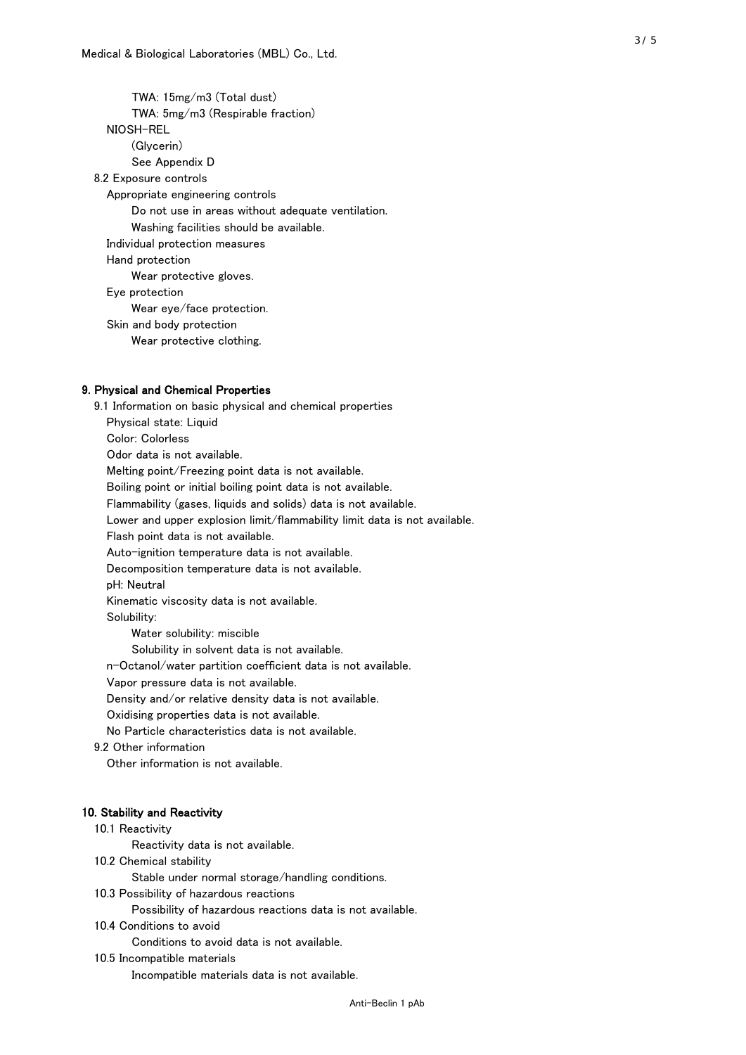TWA: 15mg/m3 (Total dust) TWA: 5mg/m3 (Respirable fraction) NIOSH-REL (Glycerin) See Appendix D 8.2 Exposure controls Appropriate engineering controls Do not use in areas without adequate ventilation. Washing facilities should be available. Individual protection measures Hand protection Wear protective gloves. Eye protection Wear eye/face protection. Skin and body protection Wear protective clothing.

### 9. Physical and Chemical Properties

 9.1 Information on basic physical and chemical properties Physical state: Liquid Color: Colorless Odor data is not available. Melting point/Freezing point data is not available. Boiling point or initial boiling point data is not available. Flammability (gases, liquids and solids) data is not available. Lower and upper explosion limit/flammability limit data is not available. Flash point data is not available. Auto-ignition temperature data is not available. Decomposition temperature data is not available. pH: Neutral Kinematic viscosity data is not available. Solubility: Water solubility: miscible Solubility in solvent data is not available. n-Octanol/water partition coefficient data is not available. Vapor pressure data is not available. Density and/or relative density data is not available. Oxidising properties data is not available. No Particle characteristics data is not available. 9.2 Other information Other information is not available. 10. Stability and Reactivity 10.1 Reactivity Reactivity data is not available. 10.2 Chemical stability Stable under normal storage/handling conditions. 10.3 Possibility of hazardous reactions

Possibility of hazardous reactions data is not available.

10.4 Conditions to avoid

Conditions to avoid data is not available.

10.5 Incompatible materials

Incompatible materials data is not available.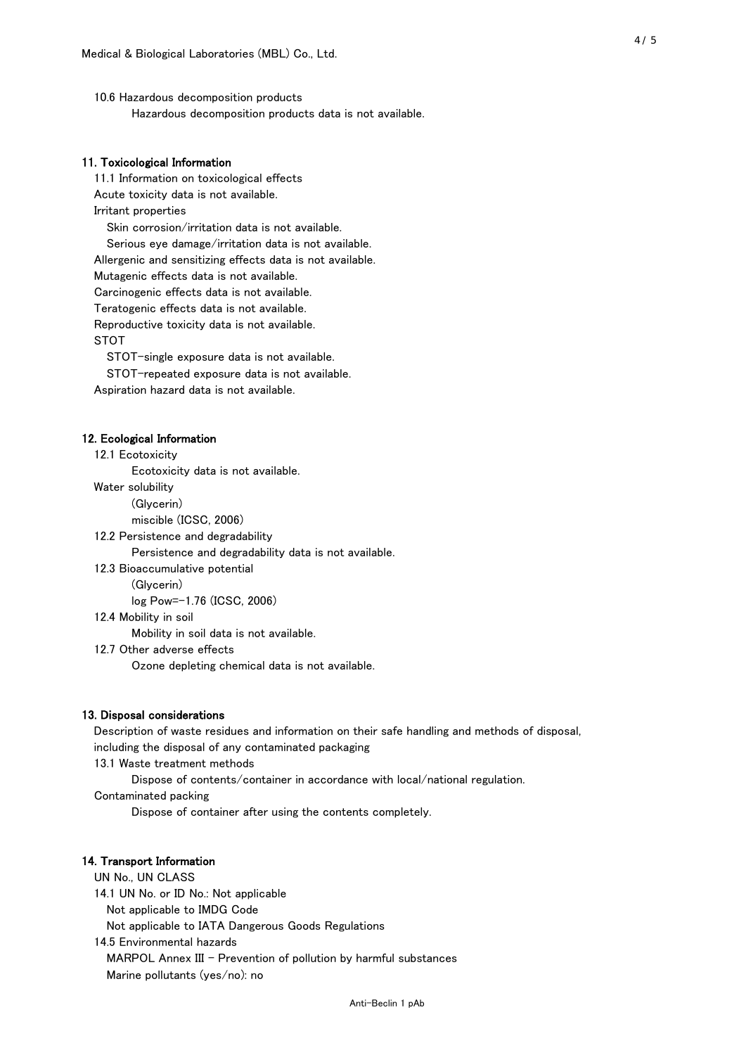10.6 Hazardous decomposition products Hazardous decomposition products data is not available.

# 11. Toxicological Information

 11.1 Information on toxicological effects Acute toxicity data is not available. Irritant properties Skin corrosion/irritation data is not available. Serious eye damage/irritation data is not available. Allergenic and sensitizing effects data is not available. Mutagenic effects data is not available. Carcinogenic effects data is not available. Teratogenic effects data is not available. Reproductive toxicity data is not available. STOT

STOT-single exposure data is not available.

STOT-repeated exposure data is not available.

Aspiration hazard data is not available.

#### 12. Ecological Information

12.1 Ecotoxicity

Ecotoxicity data is not available.

Water solubility

(Glycerin)

miscible (ICSC, 2006)

12.2 Persistence and degradability

Persistence and degradability data is not available.

12.3 Bioaccumulative potential

(Glycerin)

log Pow=-1.76 (ICSC, 2006)

12.4 Mobility in soil

Mobility in soil data is not available.

12.7 Other adverse effects

Ozone depleting chemical data is not available.

#### 13. Disposal considerations

 Description of waste residues and information on their safe handling and methods of disposal, including the disposal of any contaminated packaging

13.1 Waste treatment methods

Dispose of contents/container in accordance with local/national regulation.

Contaminated packing

Dispose of container after using the contents completely.

### 14. Transport Information

 UN No., UN CLASS 14.1 UN No. or ID No.: Not applicable Not applicable to IMDG Code Not applicable to IATA Dangerous Goods Regulations

 14.5 Environmental hazards MARPOL Annex III - Prevention of pollution by harmful substances Marine pollutants (yes/no): no